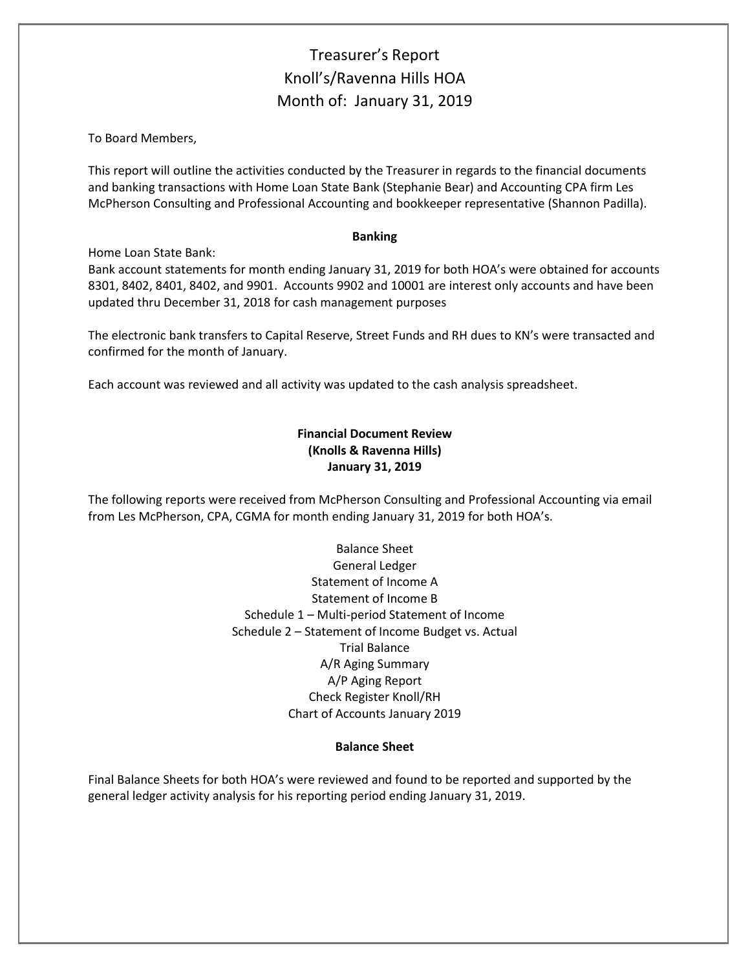# Treasurer's Report Knoll's/Ravenna Hills HOA Month of: January 31, 2019

To Board Members,

This report will outline the activities conducted by the Treasurer in regards to the financial documents and banking transactions with Home Loan State Bank (Stephanie Bear) and Accounting CPA firm Les McPherson Consulting and Professional Accounting and bookkeeper representative (Shannon Padilla).

### **Banking**

Home Loan State Bank:

Bank account statements for month ending January 31, 2019 for both HOA's were obtained for accounts 8301, 8402, 8401, 8402, and 9901. Accounts 9902 and 10001 are interest only accounts and have been updated thru December 31, 2018 for cash management purposes

The electronic bank transfers to Capital Reserve, Street Funds and RH dues to KN's were transacted and confirmed for the month of January.

Each account was reviewed and all activity was updated to the cash analysis spreadsheet.

# **Financial Document Review (Knolls & Ravenna Hills) January 31, 2019**

The following reports were received from McPherson Consulting and Professional Accounting via email from Les McPherson, CPA, CGMA for month ending January 31, 2019 for both HOA's.

> Balance Sheet General Ledger Statement of Income A Statement of Income B Schedule 1 – Multi-period Statement of Income Schedule 2 – Statement of Income Budget vs. Actual Trial Balance A/R Aging Summary A/P Aging Report Check Register Knoll/RH Chart of Accounts January 2019

## **Balance Sheet**

Final Balance Sheets for both HOA's were reviewed and found to be reported and supported by the general ledger activity analysis for his reporting period ending January 31, 2019.